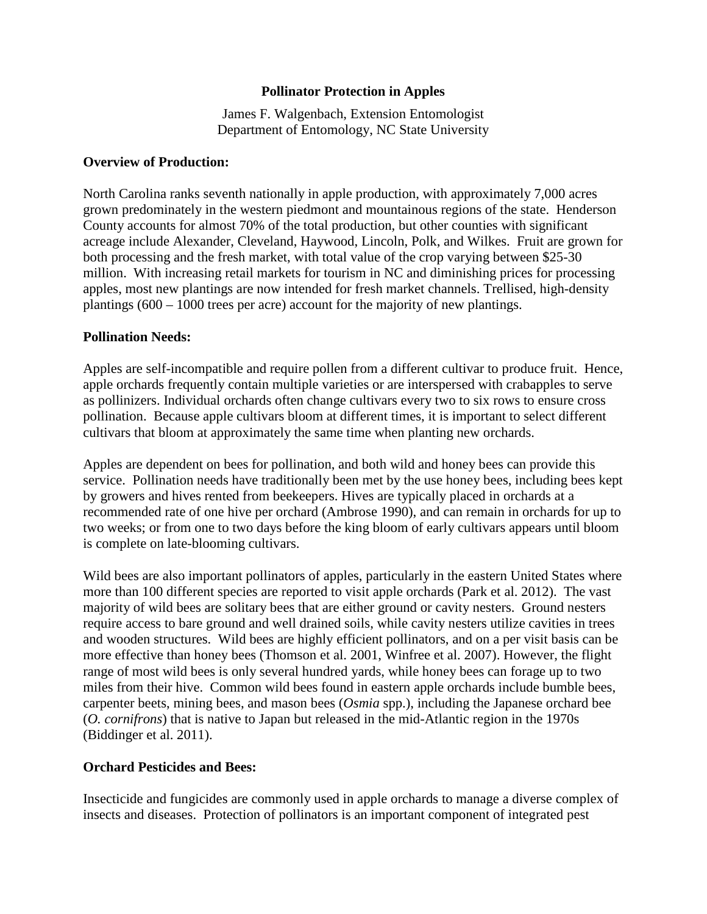## **Pollinator Protection in Apples**

James F. Walgenbach, Extension Entomologist Department of Entomology, NC State University

## **Overview of Production:**

North Carolina ranks seventh nationally in apple production, with approximately 7,000 acres grown predominately in the western piedmont and mountainous regions of the state. Henderson County accounts for almost 70% of the total production, but other counties with significant acreage include Alexander, Cleveland, Haywood, Lincoln, Polk, and Wilkes. Fruit are grown for both processing and the fresh market, with total value of the crop varying between \$25-30 million. With increasing retail markets for tourism in NC and diminishing prices for processing apples, most new plantings are now intended for fresh market channels. Trellised, high-density plantings (600 – 1000 trees per acre) account for the majority of new plantings.

## **Pollination Needs:**

Apples are self-incompatible and require pollen from a different cultivar to produce fruit. Hence, apple orchards frequently contain multiple varieties or are interspersed with crabapples to serve as pollinizers. Individual orchards often change cultivars every two to six rows to ensure cross pollination. Because apple cultivars bloom at different times, it is important to select different cultivars that bloom at approximately the same time when planting new orchards.

Apples are dependent on bees for pollination, and both wild and honey bees can provide this service. Pollination needs have traditionally been met by the use honey bees, including bees kept by growers and hives rented from beekeepers. Hives are typically placed in orchards at a recommended rate of one hive per orchard (Ambrose 1990), and can remain in orchards for up to two weeks; or from one to two days before the king bloom of early cultivars appears until bloom is complete on late-blooming cultivars.

Wild bees are also important pollinators of apples, particularly in the eastern United States where more than 100 different species are reported to visit apple orchards (Park et al. 2012). The vast majority of wild bees are solitary bees that are either ground or cavity nesters. Ground nesters require access to bare ground and well drained soils, while cavity nesters utilize cavities in trees and wooden structures. Wild bees are highly efficient pollinators, and on a per visit basis can be more effective than honey bees (Thomson et al. 2001, Winfree et al. 2007). However, the flight range of most wild bees is only several hundred yards, while honey bees can forage up to two miles from their hive. Common wild bees found in eastern apple orchards include bumble bees, carpenter beets, mining bees, and mason bees (*Osmia* spp.), including the Japanese orchard bee (*O. cornifrons*) that is native to Japan but released in the mid-Atlantic region in the 1970s (Biddinger et al. 2011).

## **Orchard Pesticides and Bees:**

Insecticide and fungicides are commonly used in apple orchards to manage a diverse complex of insects and diseases. Protection of pollinators is an important component of integrated pest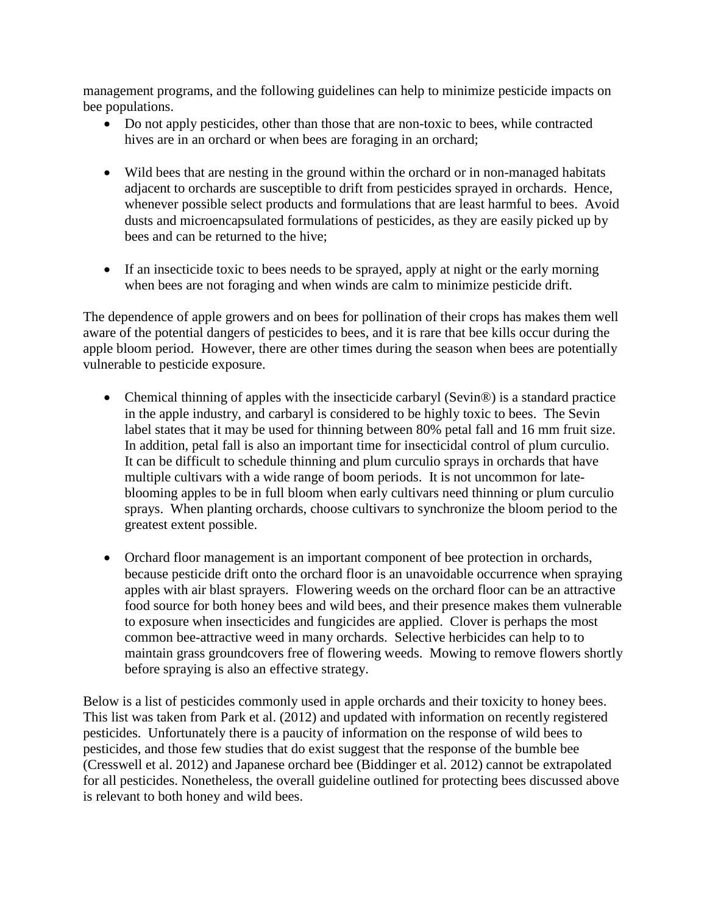management programs, and the following guidelines can help to minimize pesticide impacts on bee populations.

- Do not apply pesticides, other than those that are non-toxic to bees, while contracted hives are in an orchard or when bees are foraging in an orchard;
- Wild bees that are nesting in the ground within the orchard or in non-managed habitats adjacent to orchards are susceptible to drift from pesticides sprayed in orchards. Hence, whenever possible select products and formulations that are least harmful to bees. Avoid dusts and microencapsulated formulations of pesticides, as they are easily picked up by bees and can be returned to the hive;
- If an insecticide toxic to bees needs to be sprayed, apply at night or the early morning when bees are not foraging and when winds are calm to minimize pesticide drift.

The dependence of apple growers and on bees for pollination of their crops has makes them well aware of the potential dangers of pesticides to bees, and it is rare that bee kills occur during the apple bloom period. However, there are other times during the season when bees are potentially vulnerable to pesticide exposure.

- Chemical thinning of apples with the insecticide carbaryl (Sevin<sup>®</sup>) is a standard practice in the apple industry, and carbaryl is considered to be highly toxic to bees. The Sevin label states that it may be used for thinning between 80% petal fall and 16 mm fruit size. In addition, petal fall is also an important time for insecticidal control of plum curculio. It can be difficult to schedule thinning and plum curculio sprays in orchards that have multiple cultivars with a wide range of boom periods. It is not uncommon for lateblooming apples to be in full bloom when early cultivars need thinning or plum curculio sprays. When planting orchards, choose cultivars to synchronize the bloom period to the greatest extent possible.
- Orchard floor management is an important component of bee protection in orchards, because pesticide drift onto the orchard floor is an unavoidable occurrence when spraying apples with air blast sprayers. Flowering weeds on the orchard floor can be an attractive food source for both honey bees and wild bees, and their presence makes them vulnerable to exposure when insecticides and fungicides are applied. Clover is perhaps the most common bee-attractive weed in many orchards. Selective herbicides can help to to maintain grass groundcovers free of flowering weeds. Mowing to remove flowers shortly before spraying is also an effective strategy.

Below is a list of pesticides commonly used in apple orchards and their toxicity to honey bees. This list was taken from Park et al. (2012) and updated with information on recently registered pesticides. Unfortunately there is a paucity of information on the response of wild bees to pesticides, and those few studies that do exist suggest that the response of the bumble bee (Cresswell et al. 2012) and Japanese orchard bee (Biddinger et al. 2012) cannot be extrapolated for all pesticides. Nonetheless, the overall guideline outlined for protecting bees discussed above is relevant to both honey and wild bees.